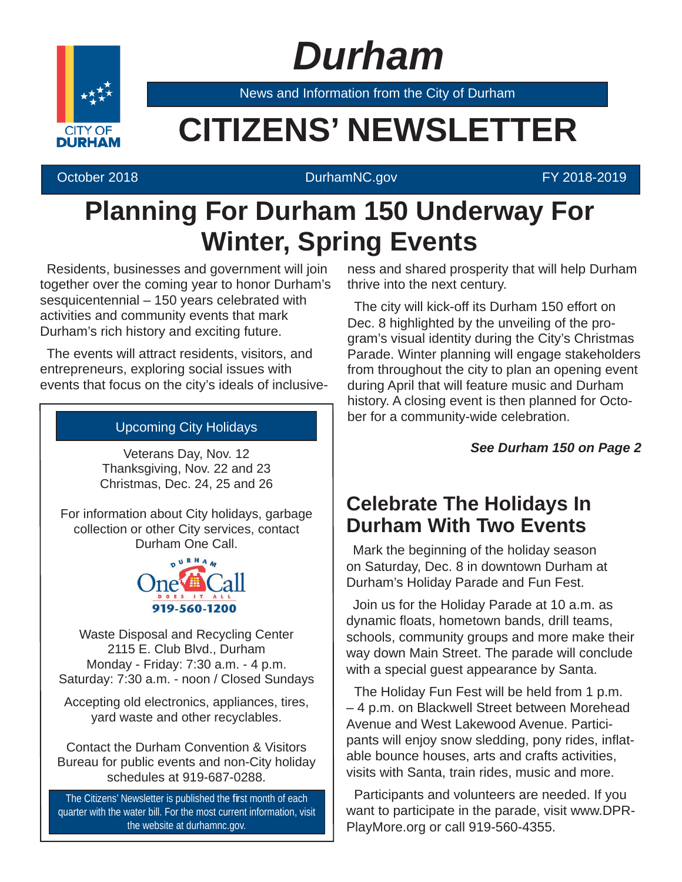# *Durham*



News and Information from the City of Durham

## **CITIZENS' NEWSLETTER**

#### October 2018 **DurhamNC.gov Contract Contract Contract Contract Contract Contract Contract Contract Contract Contract Contract Contract Contract Contract Contract Contract Contract Contract Contract Contract Contract Cont**

## **Planning For Durham 150 Underway For Winter, Spring Events**

Residents, businesses and government will join together over the coming year to honor Durham's sesquicentennial – 150 years celebrated with activities and community events that mark Durham's rich history and exciting future.

The events will attract residents, visitors, and entrepreneurs, exploring social issues with events that focus on the city's ideals of inclusive-

### Upcoming City Holidays

Veterans Day, Nov. 12 Thanksgiving, Nov. 22 and 23 Christmas, Dec. 24, 25 and 26

For information about City holidays, garbage collection or other City services, contact Durham One Call.



Waste Disposal and Recycling Center 2115 E. Club Blvd., Durham Monday - Friday: 7:30 a.m. - 4 p.m. Saturday: 7:30 a.m. - noon / Closed Sundays

Accepting old electronics, appliances, tires, yard waste and other recyclables.

Contact the Durham Convention & Visitors Bureau for public events and non-City holiday schedules at 919-687-0288.

The Citizens' Newsletter is published the first month of each quarter with the water bill. For the most current information, visit the website at durhamnc.gov.

ness and shared prosperity that will help Durham thrive into the next century.

The city will kick-off its Durham 150 effort on Dec. 8 highlighted by the unveiling of the program's visual identity during the City's Christmas Parade. Winter planning will engage stakeholders from throughout the city to plan an opening event during April that will feature music and Durham history. A closing event is then planned for October for a community-wide celebration.

#### *See Durham 150 on Page 2*

## **Celebrate The Holidays In Durham With Two Events**

Mark the beginning of the holiday season on Saturday, Dec. 8 in downtown Durham at Durham's Holiday Parade and Fun Fest.

Join us for the Holiday Parade at 10 a.m. as dynamic floats, hometown bands, drill teams, schools, community groups and more make their way down Main Street. The parade will conclude with a special guest appearance by Santa.

The Holiday Fun Fest will be held from 1 p.m. – 4 p.m. on Blackwell Street between Morehead Avenue and West Lakewood Avenue. Participants will enjoy snow sledding, pony rides, inflatable bounce houses, arts and crafts activities, visits with Santa, train rides, music and more.

Participants and volunteers are needed. If you want to participate in the parade, visit www.DPR-PlayMore.org or call 919-560-4355.